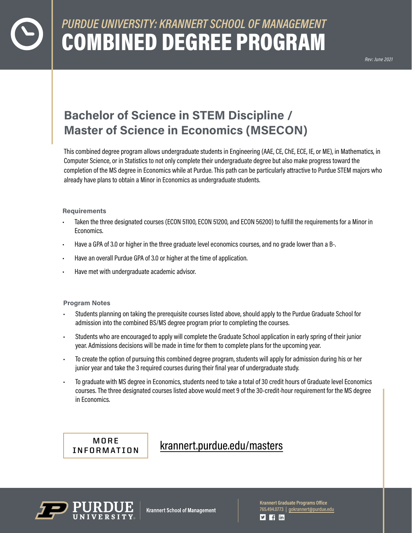# *PURDUE UNIVERSITY: KRANNERT SCHOOL OF MANAGEMENT*  COMBINED DEGREE PROGRAM

*Rev: June 2021*

## **Bachelor of Science in STEM Discipline / Master of Science in Economics (MSECON)**

This combined degree program allows undergraduate students in Engineering (AAE, CE, ChE, ECE, IE, or ME), in Mathematics, in Computer Science, or in Statistics to not only complete their undergraduate degree but also make progress toward the completion of the MS degree in Economics while at Purdue. This path can be particularly attractive to Purdue STEM majors who already have plans to obtain a Minor in Economics as undergraduate students.

#### **Requirements**

- Taken the three designated courses (ECON 51100, ECON 51200, and ECON 56200) to fulfill the requirements for a Minor in Economics.
- Have a GPA of 3.0 or higher in the three graduate level economics courses, and no grade lower than a B-.
- Have an overall Purdue GPA of 3.0 or higher at the time of application.
- Have met with undergraduate academic advisor.

#### **Program Notes**

- Students planning on taking the prerequisite courses listed above, should apply to the Purdue Graduate School for admission into the combined BS/MS degree program prior to completing the courses.
- Students who are encouraged to apply will complete the Graduate School application in early spring of their junior year. Admissions decisions will be made in time for them to complete plans for the upcoming year.
- To create the option of pursuing this combined degree program, students will apply for admission during his or her junior year and take the 3 required courses during their final year of undergraduate study.
- To graduate with MS degree in Economics, students need to take a total of 30 credit hours of Graduate level Economics courses. The three designated courses listed above would meet 9 of the 30-credit-hour requirement for the MS degree in Economics.

**MORE** [krannert.purdue.edu/masters](https://krannert.purdue.edu/masters/) **INFORMATION**



**Krannert School of Management** 

**Krannert Graduate Programs Office**  765.494.0773 | [gokrannert@purdue.edu](mailto:gokrannert@purdue.edu)  $\blacktriangleright$  |  $\dashv$  | in |